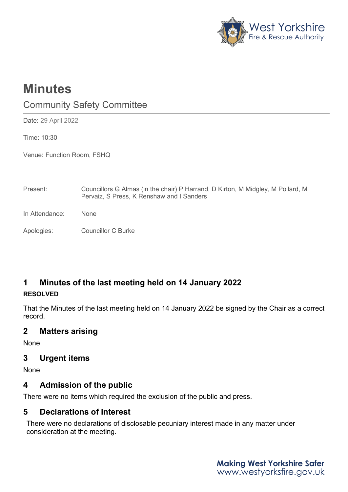

# **Minutes**

## Community Safety Committee

Date: 29 April 2022

Time: 10:30

Venue: Function Room, FSHQ

| Present:       | Councillors G Almas (in the chair) P Harrand, D Kirton, M Midgley, M Pollard, M<br>Pervaiz, S Press, K Renshaw and I Sanders |
|----------------|------------------------------------------------------------------------------------------------------------------------------|
| In Attendance: | <b>None</b>                                                                                                                  |
| Apologies:     | <b>Councillor C Burke</b>                                                                                                    |

### **1 Minutes of the last meeting held on 14 January 2022**

#### **RESOLVED**

That the Minutes of the last meeting held on 14 January 2022 be signed by the Chair as a correct record.

#### **2 Matters arising**

None

#### **3 Urgent items**

None

#### **4 Admission of the public**

There were no items which required the exclusion of the public and press.

#### **5 Declarations of interest**

There were no declarations of disclosable pecuniary interest made in any matter under consideration at the meeting.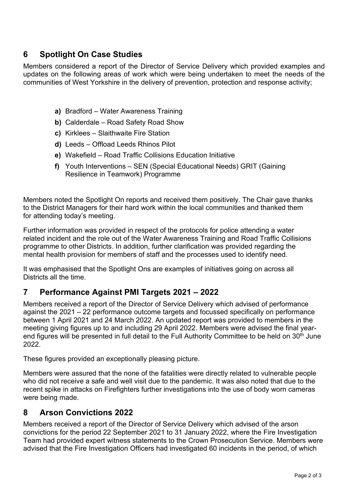#### **6 Spotlight On Case Studies**

Members considered a report of the Director of Service Delivery which provided examples and updates on the following areas of work which were being undertaken to meet the needs of the communities of West Yorkshire in the delivery of prevention, protection and response activity;

- **a)** Bradford Water Awareness Training
- **b)** Calderdale Road Safety Road Show
- **c)** Kirklees Slaithwaite Fire Station
- **d)** Leeds Offload Leeds Rhinos Pilot
- **e)** Wakefield Road Traffic Collisions Education Initiative
- **f)** Youth Interventions SEN (Special Educational Needs) GRIT (Gaining Resilience in Teamwork) Programme

Members noted the Spotlight On reports and received them positively. The Chair gave thanks to the District Managers for their hard work within the local communities and thanked them for attending today's meeting.

Further information was provided in respect of the protocols for police attending a water related incident and the role out of the Water Awareness Training and Road Traffic Collisions programme to other Districts. In addition, further clarification was provided regarding the mental health provision for members of staff and the processes used to identify need.

It was emphasised that the Spotlight Ons are examples of initiatives going on across all Districts all the time.

#### **7 Performance Against PMI Targets 2021 – 2022**

Members received a report of the Director of Service Delivery which advised of performance against the 2021 – 22 performance outcome targets and focussed specifically on performance between 1 April 2021 and 24 March 2022. An updated report was provided to members in the meeting giving figures up to and including 29 April 2022. Members were advised the final yearend figures will be presented in full detail to the Full Authority Committee to be held on 30<sup>th</sup> June 2022.

These figures provided an exceptionally pleasing picture.

Members were assured that the none of the fatalities were directly related to vulnerable people who did not receive a safe and well visit due to the pandemic. It was also noted that due to the recent spike in attacks on Firefighters further investigations into the use of body worn cameras were being made.

#### **8 Arson Convictions 2022**

Members received a report of the Director of Service Delivery which advised of the arson convictions for the period 22 September 2021 to 31 January 2022, where the Fire Investigation Team had provided expert witness statements to the Crown Prosecution Service. Members were advised that the Fire Investigation Officers had investigated 60 incidents in the period, of which